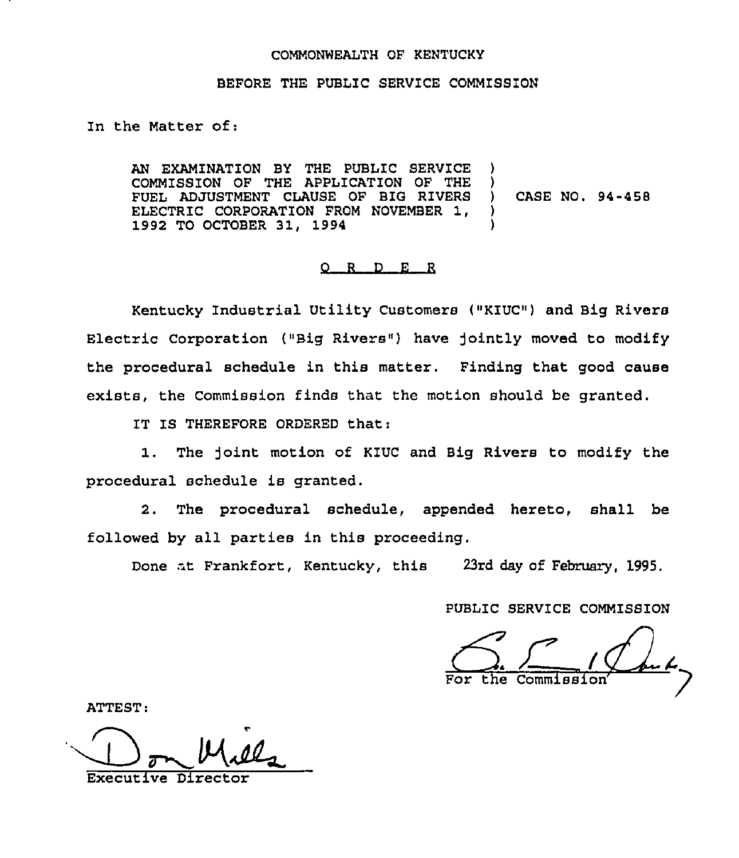#### COMMONWEALTH OF KENTUCKY

### BEFORE THE PUBLIC SERVICE COMMISSION

In the Matter of:

AN EXAMINATION BY THE PUBLIC SERVICE COMMISSION OF THE APPLICATION OF THE FUEL ADJUSTMENT CLAUSE OF BIG RIVERS ELECTRIC CORPORATION FROM NOVEMBER 1, 1992 TO OCTOBER 31, 1994 CASE NO. 94-458

## $Q$  R  $D$  E R

Kentucky Industrial Utility Customers {"KIUC") and Big Rivers Electric Corporation ("Big Rivers") have jointly moved to modify the procedural schedule in this matter. Finding that good cause exists, the Commission finds that the motion should be granted.

IT IS THEREFORE ORDERED that;

1. The )oint motion of KIUC and Big Rivers to modify the procedural schedule is granted.

2. The procedural schedule, appended hereto, shall be followed by all parties in this proceeding.

Done nt Frankfort, Kentucky, this 23rd day of February, 1995.

PUBLIC SERVICE COMM1SS1ON

For the Commissi

ATTEST

Executive Director